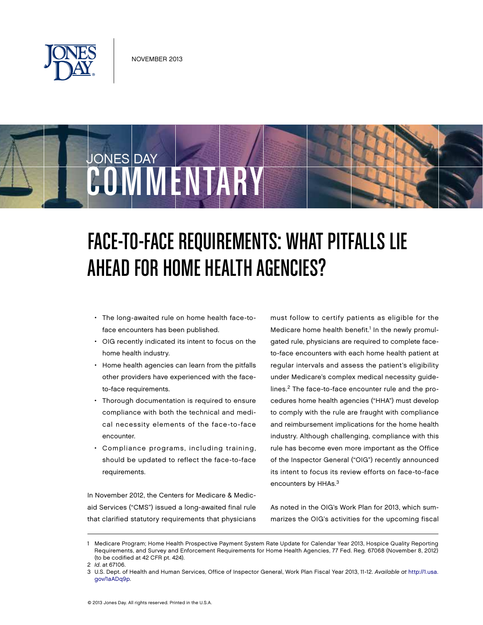

JONES DAY

# Face-to-Face Requirements: What Pitfalls Lie AHEAD FOR HOME HEALTH AGENCIES?

• The long-awaited rule on home health face-toface encounters has been published.

COMMENTARY

- OIG recently indicated its intent to focus on the home health industry.
- • Home health agencies can learn from the pitfalls other providers have experienced with the faceto-face requirements.
- Thorough documentation is required to ensure compliance with both the technical and medical necessity elements of the face-to-face encounter.
- • Compliance programs, including training, should be updated to reflect the face-to-face requirements.

In November 2012, the Centers for Medicare & Medicaid Services ("CMS") issued a long-awaited final rule that clarified statutory requirements that physicians must follow to certify patients as eligible for the Medicare home health benefit.<sup>1</sup> In the newly promulgated rule, physicians are required to complete faceto-face encounters with each home health patient at regular intervals and assess the patient's eligibility under Medicare's complex medical necessity guidelines.2 The face-to-face encounter rule and the procedures home health agencies ("HHA") must develop to comply with the rule are fraught with compliance and reimbursement implications for the home health industry. Although challenging, compliance with this rule has become even more important as the Office of the Inspector General ("OIG") recently announced its intent to focus its review efforts on face-to-face encounters by HHAs.<sup>3</sup>

As noted in the OIG's Work Plan for 2013, which summarizes the OIG's activities for the upcoming fiscal

<sup>1</sup> Medicare Program; Home Health Prospective Payment System Rate Update for Calendar Year 2013, Hospice Quality Reporting Requirements, and Survey and Enforcement Requirements for Home Health Agencies, 77 Fed. Reg. 67068 (November 8, 2012) (to be codified at 42 CFR pt. 424).

<sup>2</sup>  *Id*. at 67106.

<sup>3</sup> U.S. Dept. of Health and Human Services, Office of Inspector General, Work Plan Fiscal Year 2013, 11-12. *Available at* http://1.usa. [gov/1aADq9p.](http://1.usa.gov/1aADq9p)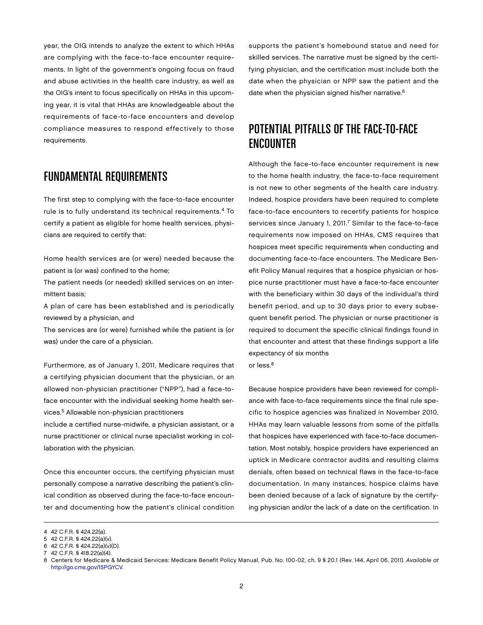year, the OIG intends to analyze the extent to which HHAs are complying with the face-to-face encounter requirements. In light of the government's ongoing focus on fraud and abuse activities in the health care industry, as well as the OIG's intent to focus specifically on HHAs in this upcoming year, it is vital that HHAs are knowledgeable about the requirements of face-to-face encounters and develop compliance measures to respond effectively to those requirements.

#### Fundamental Requirements

The first step to complying with the face-to-face encounter rule is to fully understand its technical requirements.4 To certify a patient as eligible for home health services, physicians are required to certify that:

Home health services are (or were) needed because the patient is (or was) confined to the home;

The patient needs (or needed) skilled services on an intermittent basis;

A plan of care has been established and is periodically reviewed by a physician, and

The services are (or were) furnished while the patient is (or was) under the care of a physician.

Furthermore, as of January 1, 2011, Medicare requires that a certifying physician document that the physician, or an allowed non-physician practitioner ("NPP"), had a face-toface encounter with the individual seeking home health services.<sup>5</sup> Allowable non-physician practitioners

include a certified nurse-midwife, a physician assistant, or a nurse practitioner or clinical nurse specialist working in collaboration with the physician.

Once this encounter occurs, the certifying physician must personally compose a narrative describing the patient's clinical condition as observed during the face-to-face encounter and documenting how the patient's clinical condition

supports the patient's homebound status and need for skilled services. The narrative must be signed by the certifying physician, and the certification must include both the date when the physician or NPP saw the patient and the date when the physician signed his/her narrative.<sup>6</sup>

### Potential Pitfalls of the Face-to-Face **ENCOUNTER**

Although the face-to-face encounter requirement is new to the home health industry, the face-to-face requirement is not new to other segments of the health care industry. Indeed, hospice providers have been required to complete face-to-face encounters to recertify patients for hospice services since January 1, 2011.<sup>7</sup> Similar to the face-to-face requirements now imposed on HHAs, CMS requires that hospices meet specific requirements when conducting and documenting face-to-face encounters. The Medicare Benefit Policy Manual requires that a hospice physician or hospice nurse practitioner must have a face-to-face encounter with the beneficiary within 30 days of the individual's third benefit period, and up to 30 days prior to every subsequent benefit period. The physician or nurse practitioner is required to document the specific clinical findings found in that encounter and attest that these findings support a life expectancy of six months

or less.<sup>8</sup>

Because hospice providers have been reviewed for compliance with face-to-face requirements since the final rule specific to hospice agencies was finalized in November 2010, HHAs may learn valuable lessons from some of the pitfalls that hospices have experienced with face-to-face documentation. Most notably, hospice providers have experienced an uptick in Medicare contractor audits and resulting claims denials, often based on technical flaws in the face-to-face documentation. In many instances, hospice claims have been denied because of a lack of signature by the certifying physician and/or the lack of a date on the certification. In

<sup>4 42</sup> C.F.R. § 424.22(a).

<sup>5 42</sup> C.F.R. § 424.22(a)(v).

<sup>6 42</sup> C.F.R. § 424.22(a)(v)(D).

<sup>7 42</sup> C.F.R. § 418.22(a)(4).

<sup>8</sup> Centers for Medicare & Medicaid Services: Medicare Benefit Policy Manual, Pub. No. 100-02, ch. 9 § 20.1 (Rev. 144, April 06, 2011). *Available at* [http://go.cms.gov/15PGYCV.](http://go.cms.gov/15PGYCV)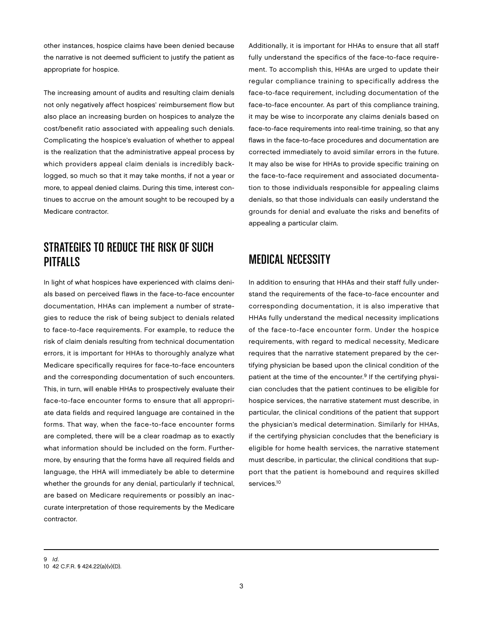other instances, hospice claims have been denied because the narrative is not deemed sufficient to justify the patient as appropriate for hospice.

The increasing amount of audits and resulting claim denials not only negatively affect hospices' reimbursement flow but also place an increasing burden on hospices to analyze the cost/benefit ratio associated with appealing such denials. Complicating the hospice's evaluation of whether to appeal is the realization that the administrative appeal process by which providers appeal claim denials is incredibly backlogged, so much so that it may take months, if not a year or more, to appeal denied claims. During this time, interest continues to accrue on the amount sought to be recouped by a Medicare contractor.

### Strategies to Reduce the Risk of Such Pitfalls

In light of what hospices have experienced with claims denials based on perceived flaws in the face-to-face encounter documentation, HHAs can implement a number of strategies to reduce the risk of being subject to denials related to face-to-face requirements. For example, to reduce the risk of claim denials resulting from technical documentation errors, it is important for HHAs to thoroughly analyze what Medicare specifically requires for face-to-face encounters and the corresponding documentation of such encounters. This, in turn, will enable HHAs to prospectively evaluate their face-to-face encounter forms to ensure that all appropriate data fields and required language are contained in the forms. That way, when the face-to-face encounter forms are completed, there will be a clear roadmap as to exactly what information should be included on the form. Furthermore, by ensuring that the forms have all required fields and language, the HHA will immediately be able to determine whether the grounds for any denial, particularly if technical, are based on Medicare requirements or possibly an inaccurate interpretation of those requirements by the Medicare contractor.

Additionally, it is important for HHAs to ensure that all staff fully understand the specifics of the face-to-face requirement. To accomplish this, HHAs are urged to update their regular compliance training to specifically address the face-to-face requirement, including documentation of the face-to-face encounter. As part of this compliance training, it may be wise to incorporate any claims denials based on face-to-face requirements into real-time training, so that any flaws in the face-to-face procedures and documentation are corrected immediately to avoid similar errors in the future. It may also be wise for HHAs to provide specific training on the face-to-face requirement and associated documentation to those individuals responsible for appealing claims denials, so that those individuals can easily understand the grounds for denial and evaluate the risks and benefits of appealing a particular claim.

## Medical Necessity

In addition to ensuring that HHAs and their staff fully understand the requirements of the face-to-face encounter and corresponding documentation, it is also imperative that HHAs fully understand the medical necessity implications of the face-to-face encounter form. Under the hospice requirements, with regard to medical necessity, Medicare requires that the narrative statement prepared by the certifying physician be based upon the clinical condition of the patient at the time of the encounter.<sup>9</sup> If the certifying physician concludes that the patient continues to be eligible for hospice services, the narrative statement must describe, in particular, the clinical conditions of the patient that support the physician's medical determination. Similarly for HHAs, if the certifying physician concludes that the beneficiary is eligible for home health services, the narrative statement must describe, in particular, the clinical conditions that support that the patient is homebound and requires skilled services.<sup>10</sup>

<sup>9</sup>  *Id*. 10 42 C.F.R. § 424.22(a)(v)(D).